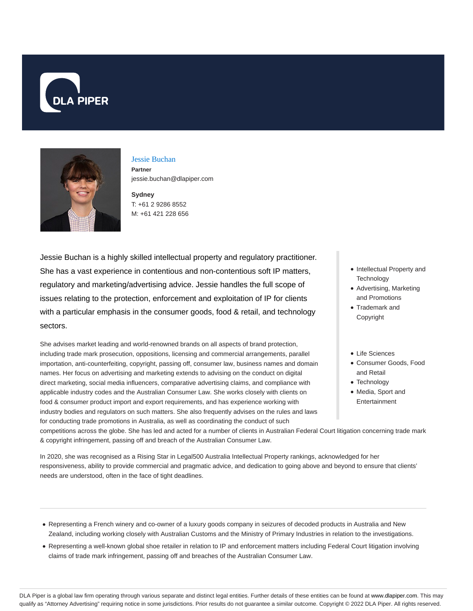



### Jessie Buchan **Partner**

jessie.buchan@dlapiper.com

**Sydney** T: +61 2 9286 8552 M: +61 421 228 656

Jessie Buchan is a highly skilled intellectual property and regulatory practitioner. She has a vast experience in contentious and non-contentious soft IP matters, regulatory and marketing/advertising advice. Jessie handles the full scope of issues relating to the protection, enforcement and exploitation of IP for clients with a particular emphasis in the consumer goods, food & retail, and technology sectors.

She advises market leading and world-renowned brands on all aspects of brand protection, including trade mark prosecution, oppositions, licensing and commercial arrangements, parallel importation, anti-counterfeiting, copyright, passing off, consumer law, business names and domain names. Her focus on advertising and marketing extends to advising on the conduct on digital direct marketing, social media influencers, comparative advertising claims, and compliance with applicable industry codes and the Australian Consumer Law. She works closely with clients on food & consumer product import and export requirements, and has experience working with industry bodies and regulators on such matters. She also frequently advises on the rules and laws for conducting trade promotions in Australia, as well as coordinating the conduct of such

- Intellectual Property and **Technology**
- Advertising, Marketing and Promotions
- Trademark and Copyright
- Life Sciences
- Consumer Goods, Food and Retail
- Technology
- Media, Sport and Entertainment

competitions across the globe. She has led and acted for a number of clients in Australian Federal Court litigation concerning trade mark & copyright infringement, passing off and breach of the Australian Consumer Law.

In 2020, she was recognised as a Rising Star in Legal500 Australia Intellectual Property rankings, acknowledged for her responsiveness, ability to provide commercial and pragmatic advice, and dedication to going above and beyond to ensure that clients' needs are understood, often in the face of tight deadlines.

- Representing a French winery and co-owner of a luxury goods company in seizures of decoded products in Australia and New Zealand, including working closely with Australian Customs and the Ministry of Primary Industries in relation to the investigations.
- Representing a well-known global shoe retailer in relation to IP and enforcement matters including Federal Court litigation involving claims of trade mark infringement, passing off and breaches of the Australian Consumer Law.

DLA Piper is a global law firm operating through various separate and distinct legal entities. Further details of these entities can be found at www.dlapiper.com. This may qualify as "Attorney Advertising" requiring notice in some jurisdictions. Prior results do not guarantee a similar outcome. Copyright @ 2022 DLA Piper. All rights reserved.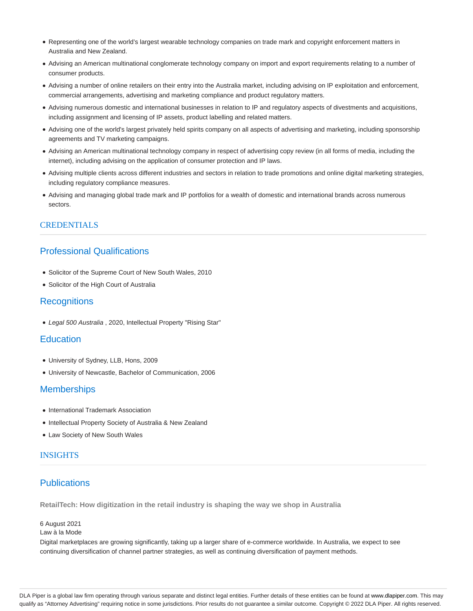- Representing one of the world's largest wearable technology companies on trade mark and copyright enforcement matters in Australia and New Zealand.
- Advising an American multinational conglomerate technology company on import and export requirements relating to a number of consumer products.
- Advising a number of online retailers on their entry into the Australia market, including advising on IP exploitation and enforcement, commercial arrangements, advertising and marketing compliance and product regulatory matters.
- Advising numerous domestic and international businesses in relation to IP and regulatory aspects of divestments and acquisitions, including assignment and licensing of IP assets, product labelling and related matters.
- Advising one of the world's largest privately held spirits company on all aspects of advertising and marketing, including sponsorship agreements and TV marketing campaigns.
- Advising an American multinational technology company in respect of advertising copy review (in all forms of media, including the internet), including advising on the application of consumer protection and IP laws.
- Advising multiple clients across different industries and sectors in relation to trade promotions and online digital marketing strategies, including regulatory compliance measures.
- Advising and managing global trade mark and IP portfolios for a wealth of domestic and international brands across numerous sectors.

# **CREDENTIALS**

# Professional Qualifications

- Solicitor of the Supreme Court of New South Wales, 2010
- Solicitor of the High Court of Australia

### **Recognitions**

Legal 500 Australia , 2020, Intellectual Property "Rising Star"

## **Education**

- University of Sydney, LLB, Hons, 2009
- University of Newcastle, Bachelor of Communication, 2006

## **Memberships**

- International Trademark Association
- Intellectual Property Society of Australia & New Zealand
- Law Society of New South Wales

### INSIGHTS

# **Publications**

**RetailTech: How digitization in the retail industry is shaping the way we shop in Australia**

### 6 August 2021

Law à la Mode

Digital marketplaces are growing significantly, taking up a larger share of e-commerce worldwide. In Australia, we expect to see continuing diversification of channel partner strategies, as well as continuing diversification of payment methods.